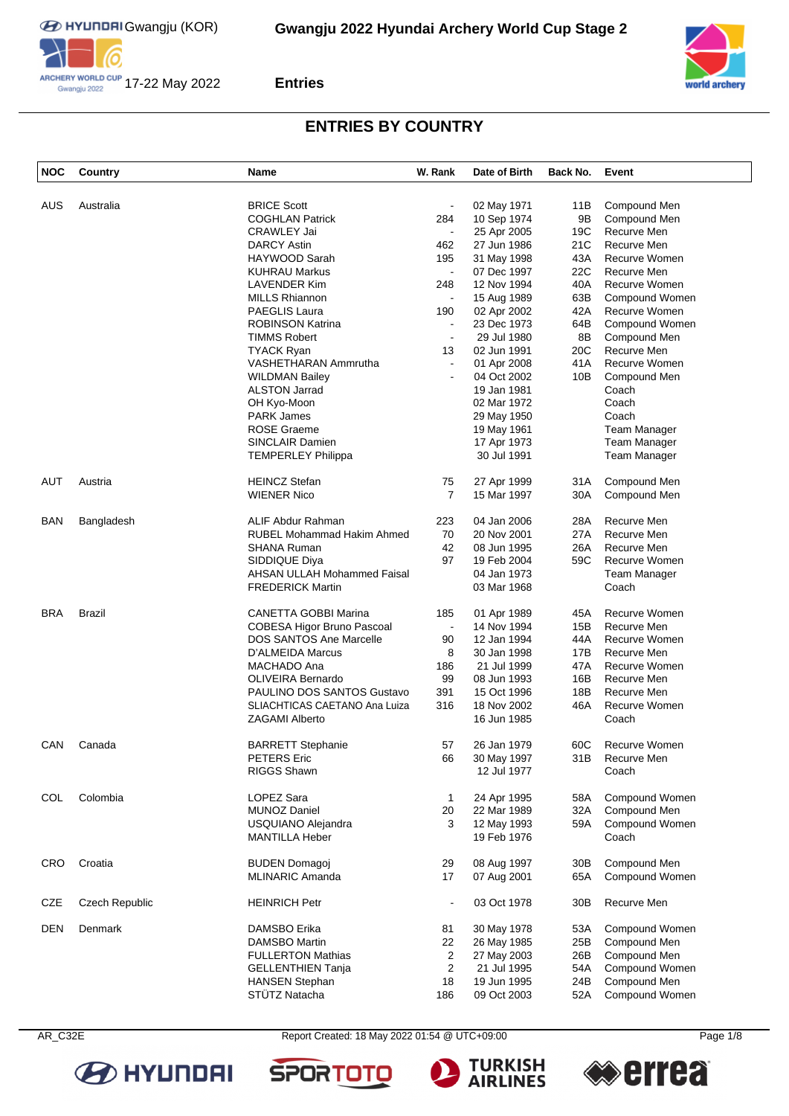





# **ENTRIES BY COUNTRY**

| <b>NOC</b> | Country        | Name                               | W. Rank        | Date of Birth | Back No. | Event                |
|------------|----------------|------------------------------------|----------------|---------------|----------|----------------------|
|            | Australia      | <b>BRICE Scott</b>                 |                |               |          | Compound Men         |
| AUS        |                |                                    |                | 02 May 1971   | 11B      |                      |
|            |                | <b>COGHLAN Patrick</b>             | 284            | 10 Sep 1974   | 9Β       | Compound Men         |
|            |                | <b>CRAWLEY Jai</b>                 | $\blacksquare$ | 25 Apr 2005   | 19C      | Recurve Men          |
|            |                | <b>DARCY Astin</b>                 | 462            | 27 Jun 1986   | 21C      | Recurve Men          |
|            |                | HAYWOOD Sarah                      | 195            | 31 May 1998   | 43A      | Recurve Women        |
|            |                | <b>KUHRAU Markus</b>               | $\blacksquare$ | 07 Dec 1997   | 22C      | Recurve Men          |
|            |                | <b>LAVENDER Kim</b>                | 248            | 12 Nov 1994   | 40A      | Recurve Women        |
|            |                | <b>MILLS Rhiannon</b>              | $\blacksquare$ | 15 Aug 1989   | 63B      | Compound Women       |
|            |                | <b>PAEGLIS Laura</b>               | 190            | 02 Apr 2002   | 42A      | Recurve Women        |
|            |                |                                    |                |               |          |                      |
|            |                | <b>ROBINSON Katrina</b>            | $\blacksquare$ | 23 Dec 1973   | 64B      | Compound Women       |
|            |                | <b>TIMMS Robert</b>                | $\blacksquare$ | 29 Jul 1980   | 8B       | Compound Men         |
|            |                | <b>TYACK Ryan</b>                  | 13             | 02 Jun 1991   | 20C      | Recurve Men          |
|            |                | VASHETHARAN Ammrutha               | $\blacksquare$ | 01 Apr 2008   | 41A      | Recurve Women        |
|            |                | <b>WILDMAN Bailey</b>              | ä,             | 04 Oct 2002   | 10B      | Compound Men         |
|            |                | <b>ALSTON Jarrad</b>               |                | 19 Jan 1981   |          | Coach                |
|            |                | OH Kyo-Moon                        |                | 02 Mar 1972   |          | Coach                |
|            |                | <b>PARK James</b>                  |                |               |          | Coach                |
|            |                |                                    |                | 29 May 1950   |          |                      |
|            |                | <b>ROSE Graeme</b>                 |                | 19 May 1961   |          | <b>Team Manager</b>  |
|            |                | SINCLAIR Damien                    |                | 17 Apr 1973   |          | Team Manager         |
|            |                | <b>TEMPERLEY Philippa</b>          |                | 30 Jul 1991   |          | Team Manager         |
| AUT        | Austria        | <b>HEINCZ Stefan</b>               | 75             | 27 Apr 1999   | 31 A     | Compound Men         |
|            |                |                                    |                |               |          |                      |
|            |                | <b>WIENER Nico</b>                 | 7              | 15 Mar 1997   | 30A      | Compound Men         |
| BAN        | Bangladesh     | ALIF Abdur Rahman                  | 223            | 04 Jan 2006   | 28A      | Recurve Men          |
|            |                | <b>RUBEL Mohammad Hakim Ahmed</b>  | 70             | 20 Nov 2001   | 27A      | Recurve Men          |
|            |                | <b>SHANA Ruman</b>                 | 42             | 08 Jun 1995   | 26A      | Recurve Men          |
|            |                |                                    |                |               |          |                      |
|            |                | SIDDIQUE Diya                      | 97             | 19 Feb 2004   | 59C      | Recurve Women        |
|            |                | <b>AHSAN ULLAH Mohammed Faisal</b> |                | 04 Jan 1973   |          | Team Manager         |
|            |                | <b>FREDERICK Martin</b>            |                | 03 Mar 1968   |          | Coach                |
| <b>BRA</b> | <b>Brazil</b>  | <b>CANETTA GOBBI Marina</b>        | 185            | 01 Apr 1989   | 45A      | Recurve Women        |
|            |                | COBESA Higor Bruno Pascoal         | $\blacksquare$ | 14 Nov 1994   | 15B      | Recurve Men          |
|            |                | <b>DOS SANTOS Ane Marcelle</b>     | 90             | 12 Jan 1994   | 44A      | Recurve Women        |
|            |                | D'ALMEIDA Marcus                   | 8              | 30 Jan 1998   | 17B      | Recurve Men          |
|            |                | MACHADO Ana                        | 186            | 21 Jul 1999   | 47A      | Recurve Women        |
|            |                |                                    |                |               |          |                      |
|            |                | <b>OLIVEIRA Bernardo</b>           | 99             | 08 Jun 1993   | 16B      | Recurve Men          |
|            |                | PAULINO DOS SANTOS Gustavo         | 391            | 15 Oct 1996   | 18B      | Recurve Men          |
|            |                | SLIACHTICAS CAETANO Ana Luiza      | 316            | 18 Nov 2002   | 46A      | Recurve Women        |
|            |                | <b>ZAGAMI Alberto</b>              |                | 16 Jun 1985   |          | Coach                |
| CAN        | Canada         | <b>BARRETT Stephanie</b>           | 57             | 26 Jan 1979   | 60C      | <b>Recurve Women</b> |
|            |                | PETERS Eric                        | 66             | 30 May 1997   | 31B      | Recurve Men          |
|            |                | <b>RIGGS Shawn</b>                 |                | 12 Jul 1977   |          | Coach                |
| COL        | Colombia       | LOPEZ Sara                         | $\mathbf{1}$   | 24 Apr 1995   | 58A      | Compound Women       |
|            |                | <b>MUNOZ Daniel</b>                | 20             | 22 Mar 1989   | 32A      | Compound Men         |
|            |                |                                    |                |               |          |                      |
|            |                | USQUIANO Alejandra                 | 3              | 12 May 1993   | 59A      | Compound Women       |
|            |                | <b>MANTILLA Heber</b>              |                | 19 Feb 1976   |          | Coach                |
| <b>CRO</b> | Croatia        | <b>BUDEN Domagoj</b>               | 29             | 08 Aug 1997   | 30B      | Compound Men         |
|            |                | <b>MLINARIC Amanda</b>             | 17             | 07 Aug 2001   | 65A      | Compound Women       |
|            |                |                                    |                |               |          |                      |
| CZE        | Czech Republic | <b>HEINRICH Petr</b>               | $\blacksquare$ | 03 Oct 1978   | 30B      | Recurve Men          |
| DEN        | Denmark        | DAMSBO Erika                       | 81             | 30 May 1978   | 53A      | Compound Women       |
|            |                | DAMSBO Martin                      | 22             | 26 May 1985   | 25B      | Compound Men         |
|            |                | <b>FULLERTON Mathias</b>           | 2              | 27 May 2003   | 26B      | Compound Men         |
|            |                | <b>GELLENTHIEN Tanja</b>           | 2              | 21 Jul 1995   | 54A      | Compound Women       |
|            |                |                                    |                |               |          |                      |
|            |                | <b>HANSEN Stephan</b>              | 18             | 19 Jun 1995   | 24B      | Compound Men         |
|            |                | STÜTZ Natacha                      | 186            | 09 Oct 2003   | 52A      | Compound Women       |



AR\_C32E Report Created: 18 May 2022 01:54 @ UTC+09:00 Page 1/8

**SPOR** 





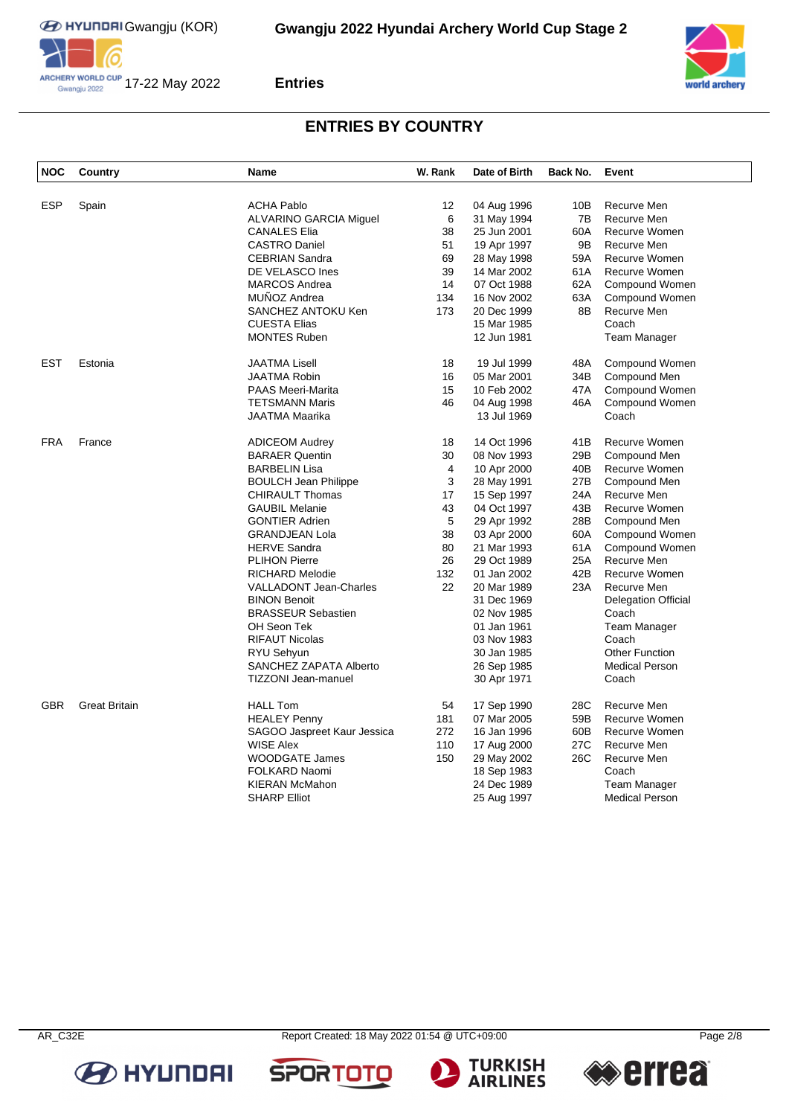



## **ENTRIES BY COUNTRY**

| <b>NOC</b> | Country              | <b>Name</b>                   | W. Rank | Date of Birth              | Back No.        | Event                      |
|------------|----------------------|-------------------------------|---------|----------------------------|-----------------|----------------------------|
|            |                      |                               |         |                            |                 |                            |
| <b>ESP</b> | Spain                | <b>ACHA Pablo</b>             | 12      | 04 Aug 1996                | 10B             | Recurve Men                |
|            |                      | <b>ALVARINO GARCIA Miguel</b> | 6       | 31 May 1994                | 7B              | Recurve Men                |
|            |                      | <b>CANALES Elia</b>           | 38      | 25 Jun 2001                | 60A             | Recurve Women              |
|            |                      | <b>CASTRO Daniel</b>          | 51      | 19 Apr 1997                | 9B              | Recurve Men                |
|            |                      | <b>CEBRIAN Sandra</b>         | 69      | 28 May 1998                | 59A             | Recurve Women              |
|            |                      | DE VELASCO Ines               | 39      | 14 Mar 2002                | 61A             | Recurve Women              |
|            |                      | <b>MARCOS Andrea</b>          | 14      | 07 Oct 1988                | 62A             | Compound Women             |
|            |                      | MUÑOZ Andrea                  | 134     | 16 Nov 2002                | 63A             | Compound Women             |
|            |                      | SANCHEZ ANTOKU Ken            | 173     | 20 Dec 1999                | 8B              | Recurve Men                |
|            |                      | <b>CUESTA Elias</b>           |         | 15 Mar 1985                |                 | Coach                      |
|            |                      | <b>MONTES Ruben</b>           |         | 12 Jun 1981                |                 | <b>Team Manager</b>        |
| <b>EST</b> | Estonia              | <b>JAATMA Lisell</b>          | 18      | 19 Jul 1999                | 48A             | Compound Women             |
|            |                      | <b>JAATMA Robin</b>           | 16      | 05 Mar 2001                | 34B             | Compound Men               |
|            |                      | <b>PAAS Meeri-Marita</b>      | 15      | 10 Feb 2002                | 47A             | Compound Women             |
|            |                      | <b>TETSMANN Maris</b>         | 46      | 04 Aug 1998                | 46A             | Compound Women             |
|            |                      | <b>JAATMA Maarika</b>         |         | 13 Jul 1969                |                 | Coach                      |
| <b>FRA</b> | France               | <b>ADICEOM Audrey</b>         | 18      | 14 Oct 1996                | 41B             | Recurve Women              |
|            |                      | <b>BARAER Quentin</b>         | 30      | 08 Nov 1993                | 29B             | Compound Men               |
|            |                      | <b>BARBELIN Lisa</b>          | 4       | 10 Apr 2000                | 40B             | Recurve Women              |
|            |                      | <b>BOULCH Jean Philippe</b>   | 3       | 28 May 1991                | 27B             | Compound Men               |
|            |                      | <b>CHIRAULT Thomas</b>        | 17      | 15 Sep 1997                | 24A             | Recurve Men                |
|            |                      | <b>GAUBIL Melanie</b>         | 43      | 04 Oct 1997                | 43B             | Recurve Women              |
|            |                      | <b>GONTIER Adrien</b>         | 5       | 29 Apr 1992                | 28B             | Compound Men               |
|            |                      | <b>GRANDJEAN Lola</b>         | 38      | 03 Apr 2000                | 60A             | Compound Women             |
|            |                      | <b>HERVE Sandra</b>           | 80      | 21 Mar 1993                | 61A             | Compound Women             |
|            |                      | <b>PLIHON Pierre</b>          | 26      | 29 Oct 1989                | 25A             | Recurve Men                |
|            |                      | <b>RICHARD Melodie</b>        | 132     | 01 Jan 2002                | 42B             | Recurve Women              |
|            |                      | <b>VALLADONT Jean-Charles</b> | 22      | 20 Mar 1989                | 23A             | Recurve Men                |
|            |                      | <b>BINON Benoit</b>           |         | 31 Dec 1969                |                 | <b>Delegation Official</b> |
|            |                      | <b>BRASSEUR Sebastien</b>     |         | 02 Nov 1985                |                 | Coach                      |
|            |                      | OH Seon Tek                   |         | 01 Jan 1961                |                 | Team Manager               |
|            |                      | <b>RIFAUT Nicolas</b>         |         | 03 Nov 1983                |                 | Coach                      |
|            |                      | RYU Sehyun                    |         | 30 Jan 1985                |                 | <b>Other Function</b>      |
|            |                      | SANCHEZ ZAPATA Alberto        |         | 26 Sep 1985                |                 | <b>Medical Person</b>      |
|            |                      | <b>TIZZONI Jean-manuel</b>    |         | 30 Apr 1971                |                 | Coach                      |
| <b>GBR</b> | <b>Great Britain</b> | <b>HALL Tom</b>               | 54      | 17 Sep 1990                | 28C             | Recurve Men                |
|            |                      | <b>HEALEY Penny</b>           | 181     | 07 Mar 2005                | 59B             | Recurve Women              |
|            |                      | SAGOO Jaspreet Kaur Jessica   | 272     | 16 Jan 1996                | 60B             | Recurve Women              |
|            |                      | <b>WISE Alex</b>              | 110     | 17 Aug 2000                | 27 <sub>C</sub> | Recurve Men                |
|            |                      | <b>WOODGATE James</b>         | 150     | 29 May 2002                | 26C             | Recurve Men                |
|            |                      | <b>FOLKARD Naomi</b>          |         |                            |                 | Coach                      |
|            |                      | <b>KIERAN McMahon</b>         |         | 18 Sep 1983<br>24 Dec 1989 |                 | <b>Team Manager</b>        |
|            |                      | <b>SHARP Elliot</b>           |         |                            |                 | <b>Medical Person</b>      |
|            |                      |                               |         | 25 Aug 1997                |                 |                            |

**B** HYUNDAI

AR\_C32E Report Created: 18 May 2022 01:54 @ UTC+09:00 Page 2/8





**SPORTO**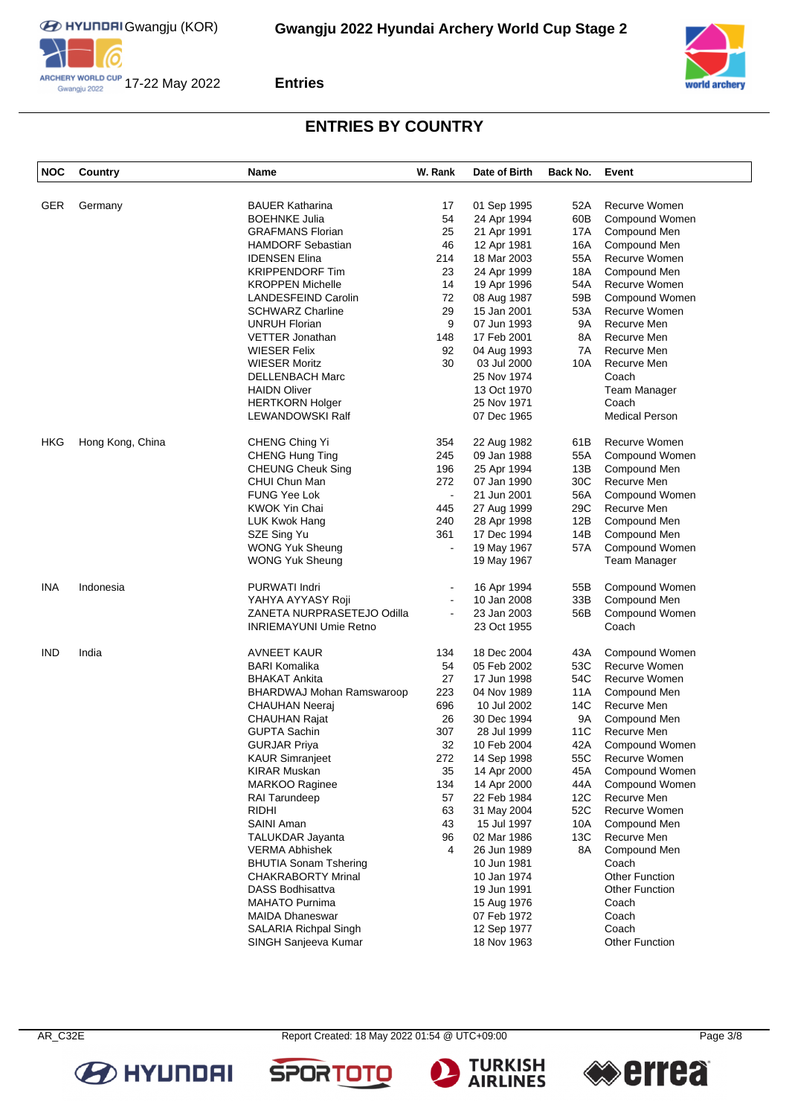



## **ENTRIES BY COUNTRY**

| <b>NOC</b> | Country          | Name                                      | W. Rank        | Date of Birth | Back No.   | Event                 |
|------------|------------------|-------------------------------------------|----------------|---------------|------------|-----------------------|
| <b>GER</b> | Germany          | <b>BAUER Katharina</b>                    | 17             | 01 Sep 1995   | 52A        | Recurve Women         |
|            |                  | <b>BOEHNKE Julia</b>                      | 54             | 24 Apr 1994   | 60B        | Compound Women        |
|            |                  | <b>GRAFMANS Florian</b>                   | 25             | 21 Apr 1991   | 17A        | Compound Men          |
|            |                  | <b>HAMDORF Sebastian</b>                  | 46             | 12 Apr 1981   | 16A        | Compound Men          |
|            |                  | <b>IDENSEN Elina</b>                      | 214            | 18 Mar 2003   | 55A        | Recurve Women         |
|            |                  | <b>KRIPPENDORF Tim</b>                    | 23             | 24 Apr 1999   | 18A        | Compound Men          |
|            |                  | <b>KROPPEN Michelle</b>                   | 14             | 19 Apr 1996   | 54A        | Recurve Women         |
|            |                  | <b>LANDESFEIND Carolin</b>                | 72             | 08 Aug 1987   | 59B        | Compound Women        |
|            |                  | <b>SCHWARZ Charline</b>                   | 29             | 15 Jan 2001   | 53A        | Recurve Women         |
|            |                  | <b>UNRUH Florian</b>                      | 9              | 07 Jun 1993   | 9A         | Recurve Men           |
|            |                  | <b>VETTER Jonathan</b>                    | 148            | 17 Feb 2001   | 8Α         | Recurve Men           |
|            |                  | <b>WIESER Felix</b>                       | 92             | 04 Aug 1993   | 7A         | Recurve Men           |
|            |                  | <b>WIESER Moritz</b>                      | 30             | 03 Jul 2000   | 10A        | Recurve Men           |
|            |                  |                                           |                |               |            | Coach                 |
|            |                  | DELLENBACH Marc                           |                | 25 Nov 1974   |            |                       |
|            |                  | <b>HAIDN Oliver</b>                       |                | 13 Oct 1970   |            | Team Manager          |
|            |                  | <b>HERTKORN Holger</b>                    |                | 25 Nov 1971   |            | Coach                 |
|            |                  | LEWANDOWSKI Ralf                          |                | 07 Dec 1965   |            | <b>Medical Person</b> |
| HKG        | Hong Kong, China | CHENG Ching Yi                            | 354            | 22 Aug 1982   | 61B        | Recurve Women         |
|            |                  | <b>CHENG Hung Ting</b>                    | 245            | 09 Jan 1988   | 55A        | Compound Women        |
|            |                  | <b>CHEUNG Cheuk Sing</b>                  | 196            | 25 Apr 1994   | 13B        | Compound Men          |
|            |                  | CHUI Chun Man                             | 272            | 07 Jan 1990   | 30C        | Recurve Men           |
|            |                  | <b>FUNG Yee Lok</b>                       | $\blacksquare$ | 21 Jun 2001   | 56A        | Compound Women        |
|            |                  | <b>KWOK Yin Chai</b>                      | 445            | 27 Aug 1999   | 29C        | Recurve Men           |
|            |                  | LUK Kwok Hang                             | 240            | 28 Apr 1998   | 12B        | Compound Men          |
|            |                  | SZE Sing Yu                               | 361            | 17 Dec 1994   | 14B        | Compound Men          |
|            |                  | <b>WONG Yuk Sheung</b>                    | $\blacksquare$ | 19 May 1967   | 57A        | Compound Women        |
|            |                  | <b>WONG Yuk Sheung</b>                    |                | 19 May 1967   |            | Team Manager          |
| <b>INA</b> | Indonesia        | <b>PURWATI Indri</b>                      |                | 16 Apr 1994   | 55B        | Compound Women        |
|            |                  | YAHYA AYYASY Roji                         | $\overline{a}$ | 10 Jan 2008   | 33B        | Compound Men          |
|            |                  | ZANETA NURPRASETEJO Odilla                | L,             | 23 Jan 2003   | 56B        | Compound Women        |
|            |                  | <b>INRIEMAYUNI Umie Retno</b>             |                | 23 Oct 1955   |            | Coach                 |
| <b>IND</b> | India            | <b>AVNEET KAUR</b>                        | 134            | 18 Dec 2004   | 43A        | Compound Women        |
|            |                  | <b>BARI Komalika</b>                      | 54             | 05 Feb 2002   | 53C        | Recurve Women         |
|            |                  | <b>BHAKAT Ankita</b>                      | 27             | 17 Jun 1998   | 54C        | Recurve Women         |
|            |                  | BHARDWAJ Mohan Ramswaroop                 | 223            | 04 Nov 1989   | 11A        | Compound Men          |
|            |                  | <b>CHAUHAN Neeraj</b>                     | 696            | 10 Jul 2002   | 14C        | Recurve Men           |
|            |                  | <b>CHAUHAN Rajat</b>                      | 26             | 30 Dec 1994   | 9Α         | Compound Men          |
|            |                  | <b>GUPTA Sachin</b>                       | 307            | 28 Jul 1999   | 11C        | Recurve Men           |
|            |                  | <b>GURJAR Priva</b>                       | 32             | 10 Feb 2004   | 42A        | Compound Women        |
|            |                  | <b>KAUR Simranjeet</b>                    | 272            | 14 Sep 1998   | 55C        | Recurve Women         |
|            |                  | <b>KIRAR Muskan</b>                       | 35             | 14 Apr 2000   | 45A        | Compound Women        |
|            |                  | <b>MARKOO Raginee</b>                     | 134            | 14 Apr 2000   | 44A        | Compound Women        |
|            |                  | <b>RAI Tarundeep</b>                      | 57             | 22 Feb 1984   | 12C        | Recurve Men           |
|            |                  | <b>RIDHI</b>                              | 63             | 31 May 2004   | 52C        | Recurve Women         |
|            |                  | SAINI Aman                                | 43             | 15 Jul 1997   |            | Compound Men          |
|            |                  |                                           | 96             | 02 Mar 1986   | 10A<br>13C | Recurve Men           |
|            |                  | TALUKDAR Jayanta<br><b>VERMA Abhishek</b> | 4              |               |            |                       |
|            |                  |                                           |                | 26 Jun 1989   | 8A         | Compound Men          |
|            |                  | <b>BHUTIA Sonam Tshering</b>              |                | 10 Jun 1981   |            | Coach                 |
|            |                  | <b>CHAKRABORTY Mrinal</b>                 |                | 10 Jan 1974   |            | <b>Other Function</b> |
|            |                  | <b>DASS Bodhisattva</b>                   |                | 19 Jun 1991   |            | <b>Other Function</b> |
|            |                  | <b>MAHATO Purnima</b>                     |                | 15 Aug 1976   |            | Coach                 |
|            |                  | <b>MAIDA Dhaneswar</b>                    |                | 07 Feb 1972   |            | Coach                 |
|            |                  | SALARIA Richpal Singh                     |                | 12 Sep 1977   |            | Coach                 |
|            |                  | SINGH Sanjeeva Kumar                      |                | 18 Nov 1963   |            | <b>Other Function</b> |

**B** HYUNDAI



**SPORTO** 



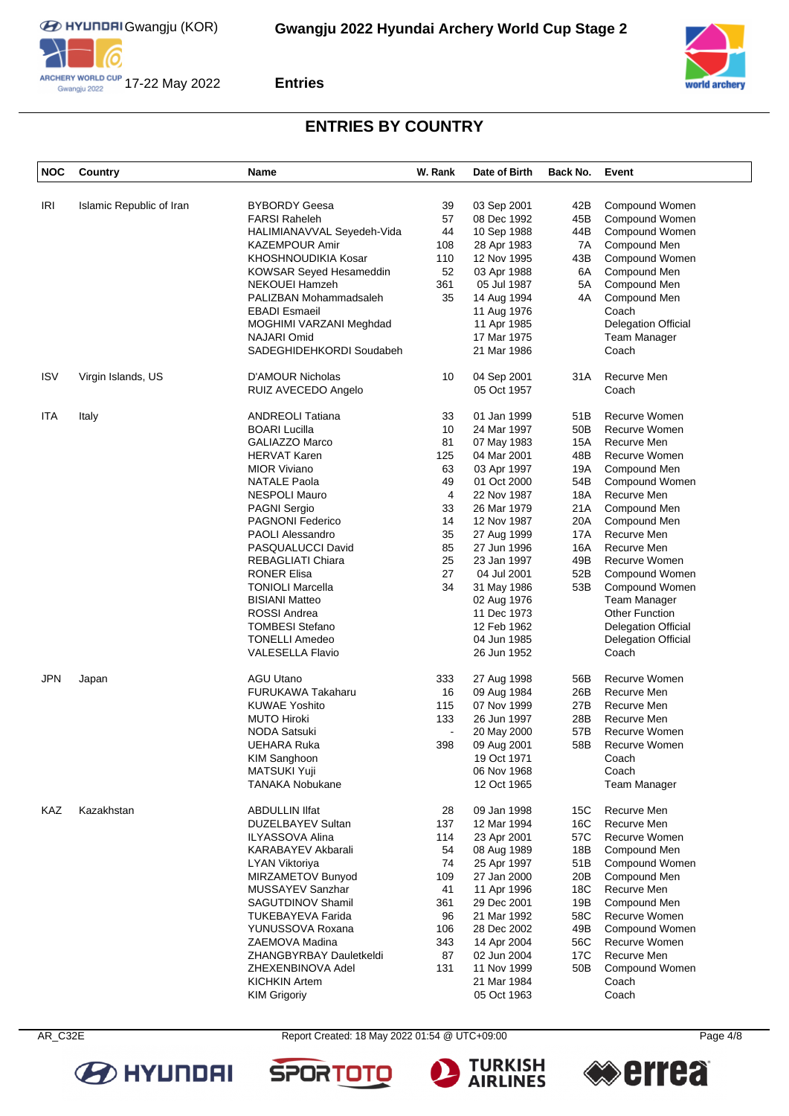





### **ENTRIES BY COUNTRY**

| <b>NOC</b> | Country                  | Name                       | W. Rank        | Date of Birth | Back No. | Event                      |
|------------|--------------------------|----------------------------|----------------|---------------|----------|----------------------------|
| IRI        | Islamic Republic of Iran | <b>BYBORDY Geesa</b>       | 39             | 03 Sep 2001   | 42B      | Compound Women             |
|            |                          | <b>FARSI Raheleh</b>       | 57             | 08 Dec 1992   | 45B      | Compound Women             |
|            |                          | HALIMIANAVVAL Seyedeh-Vida | 44             | 10 Sep 1988   | 44B      | Compound Women             |
|            |                          | <b>KAZEMPOUR Amir</b>      | 108            | 28 Apr 1983   | 7A       | Compound Men               |
|            |                          | KHOSHNOUDIKIA Kosar        | 110            | 12 Nov 1995   | 43B      | Compound Women             |
|            |                          | KOWSAR Seyed Hesameddin    | 52             | 03 Apr 1988   | 6A       | Compound Men               |
|            |                          | NEKOUEI Hamzeh             | 361            | 05 Jul 1987   | 5A       | Compound Men               |
|            |                          | PALIZBAN Mohammadsaleh     | 35             | 14 Aug 1994   | 4A       | Compound Men               |
|            |                          | <b>EBADI Esmaeil</b>       |                | 11 Aug 1976   |          | Coach                      |
|            |                          | MOGHIMI VARZANI Meghdad    |                | 11 Apr 1985   |          | <b>Delegation Official</b> |
|            |                          | NAJARI Omid                |                | 17 Mar 1975   |          | Team Manager               |
|            |                          | SADEGHIDEHKORDI Soudabeh   |                | 21 Mar 1986   |          | Coach                      |
| <b>ISV</b> | Virgin Islands, US       | <b>D'AMOUR Nicholas</b>    | 10             | 04 Sep 2001   | 31A      | Recurve Men                |
|            |                          | RUIZ AVECEDO Angelo        |                | 05 Oct 1957   |          | Coach                      |
| ITA        | Italy                    | <b>ANDREOLI Tatiana</b>    | 33             | 01 Jan 1999   | 51B      | Recurve Women              |
|            |                          | <b>BOARI Lucilla</b>       | 10             | 24 Mar 1997   | 50B      | Recurve Women              |
|            |                          | <b>GALIAZZO Marco</b>      | 81             | 07 May 1983   | 15A      | Recurve Men                |
|            |                          | <b>HERVAT Karen</b>        | 125            | 04 Mar 2001   | 48B      | Recurve Women              |
|            |                          | <b>MIOR Viviano</b>        | 63             | 03 Apr 1997   | 19A      | Compound Men               |
|            |                          | <b>NATALE Paola</b>        | 49             | 01 Oct 2000   | 54B      | Compound Women             |
|            |                          | <b>NESPOLI Mauro</b>       | 4              | 22 Nov 1987   | 18A      | Recurve Men                |
|            |                          | <b>PAGNI Sergio</b>        | 33             | 26 Mar 1979   | 21A      | Compound Men               |
|            |                          | <b>PAGNONI Federico</b>    | 14             | 12 Nov 1987   | 20A      | Compound Men               |
|            |                          | <b>PAOLI Alessandro</b>    | 35             | 27 Aug 1999   | 17A      | Recurve Men                |
|            |                          | PASQUALUCCI David          | 85             | 27 Jun 1996   | 16A      | Recurve Men                |
|            |                          | REBAGLIATI Chiara          | 25             | 23 Jan 1997   | 49B      | Recurve Women              |
|            |                          | <b>RONER Elisa</b>         | 27             | 04 Jul 2001   | 52B      | Compound Women             |
|            |                          | <b>TONIOLI Marcella</b>    | 34             | 31 May 1986   | 53B      | Compound Women             |
|            |                          | <b>BISIANI Matteo</b>      |                | 02 Aug 1976   |          | Team Manager               |
|            |                          | ROSSI Andrea               |                | 11 Dec 1973   |          | <b>Other Function</b>      |
|            |                          | <b>TOMBESI Stefano</b>     |                | 12 Feb 1962   |          | <b>Delegation Official</b> |
|            |                          | <b>TONELLI Amedeo</b>      |                | 04 Jun 1985   |          | <b>Delegation Official</b> |
|            |                          | <b>VALESELLA Flavio</b>    |                | 26 Jun 1952   |          | Coach                      |
| <b>JPN</b> | Japan                    | <b>AGU Utano</b>           | 333            | 27 Aug 1998   | 56B      | Recurve Women              |
|            |                          | <b>FURUKAWA Takaharu</b>   | 16             | 09 Aug 1984   | 26B      | Recurve Men                |
|            |                          | <b>KUWAE Yoshito</b>       | 115            | 07 Nov 1999   | 27B      | Recurve Men                |
|            |                          | <b>MUTO Hiroki</b>         | 133            | 26 Jun 1997   | 28B      | Recurve Men                |
|            |                          | <b>NODA Satsuki</b>        | $\blacksquare$ | 20 May 2000   | 57B      | Recurve Women              |
|            |                          | UEHARA Ruka                | 398            | 09 Aug 2001   | 58B      | Recurve Women              |
|            |                          | <b>KIM Sanghoon</b>        |                | 19 Oct 1971   |          | Coach                      |
|            |                          | <b>MATSUKI Yuji</b>        |                | 06 Nov 1968   |          | Coach                      |
|            |                          | <b>TANAKA Nobukane</b>     |                | 12 Oct 1965   |          | Team Manager               |
| <b>KAZ</b> | Kazakhstan               | <b>ABDULLIN IIfat</b>      | 28             | 09 Jan 1998   | 15C      | Recurve Men                |
|            |                          | DUZELBAYEV Sultan          | 137            | 12 Mar 1994   | 16C      | Recurve Men                |
|            |                          | ILYASSOVA Alina            | 114            | 23 Apr 2001   | 57C      | Recurve Women              |
|            |                          | KARABAYEV Akbarali         | 54             | 08 Aug 1989   | 18B      | Compound Men               |
|            |                          | <b>LYAN Viktoriya</b>      | 74             | 25 Apr 1997   | 51B      | Compound Women             |
|            |                          | MIRZAMETOV Bunyod          | 109            | 27 Jan 2000   | 20B      | Compound Men               |
|            |                          | MUSSAYEV Sanzhar           | 41             | 11 Apr 1996   | 18C      | Recurve Men                |
|            |                          | SAGUTDINOV Shamil          | 361            | 29 Dec 2001   | 19B      | Compound Men               |
|            |                          | <b>TUKEBAYEVA Farida</b>   | 96             | 21 Mar 1992   | 58C      | Recurve Women              |
|            |                          | YUNUSSOVA Roxana           | 106            | 28 Dec 2002   | 49B      | Compound Women             |
|            |                          | ZAEMOVA Madina             | 343            | 14 Apr 2004   | 56C      | Recurve Women              |
|            |                          | ZHANGBYRBAY Dauletkeldi    | 87             | 02 Jun 2004   | 17C      | Recurve Men                |
|            |                          | ZHEXENBINOVA Adel          | 131            | 11 Nov 1999   | 50B      | Compound Women             |
|            |                          | <b>KICHKIN Artem</b>       |                | 21 Mar 1984   |          | Coach                      |
|            |                          | <b>KIM Grigoriy</b>        |                | 05 Oct 1963   |          | Coach                      |



AR\_C32E Report Created: 18 May 2022 01:54 @ UTC+09:00 Page 4/8

**SPORT** 





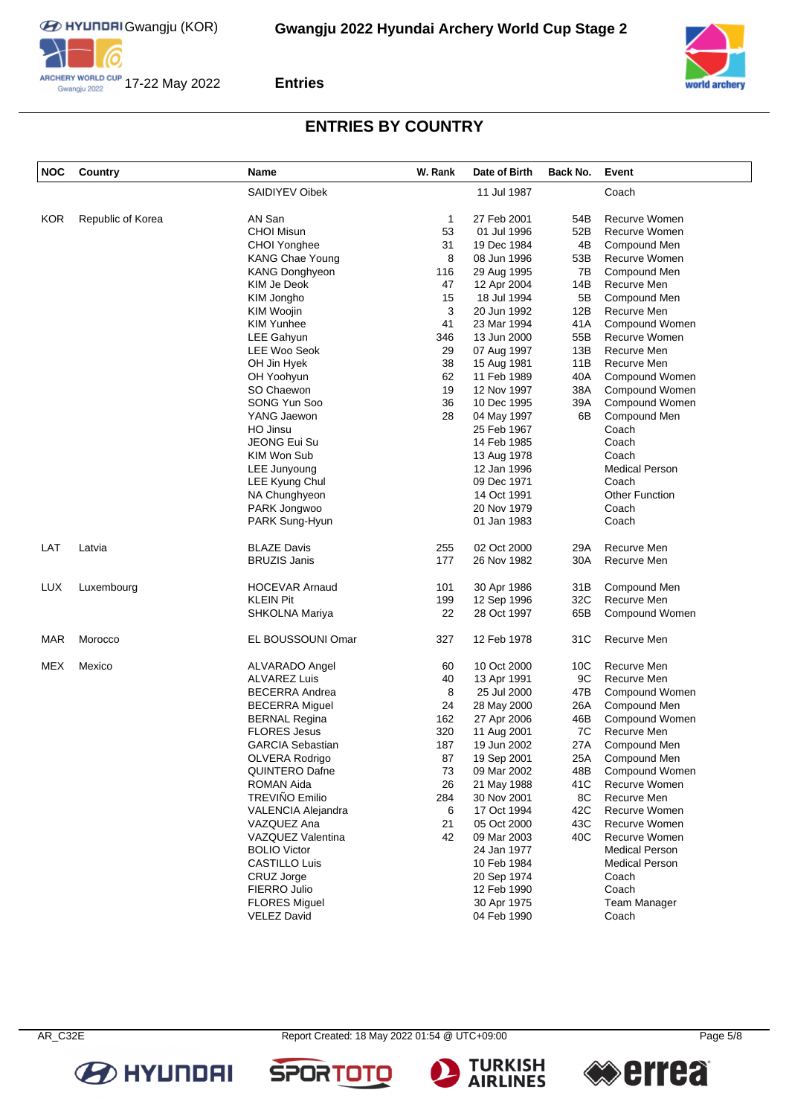**EXECUTED HYUNDRIG GWANGHOU (KOR)** 







### **Entries**

# **ENTRIES BY COUNTRY**

| <b>NOC</b> | Country           | <b>Name</b>                     | W. Rank | Date of Birth              | Back No.        | Event                 |
|------------|-------------------|---------------------------------|---------|----------------------------|-----------------|-----------------------|
|            |                   | SAIDIYEV Oibek                  |         | 11 Jul 1987                |                 | Coach                 |
| <b>KOR</b> | Republic of Korea | AN San                          | 1       | 27 Feb 2001                | 54B             | Recurve Women         |
|            |                   | <b>CHOI Misun</b>               | 53      | 01 Jul 1996                | 52B             | Recurve Women         |
|            |                   | CHOI Yonghee                    | 31      | 19 Dec 1984                | 4B              | Compound Men          |
|            |                   | <b>KANG Chae Young</b>          | 8       | 08 Jun 1996                | 53B             | Recurve Women         |
|            |                   | <b>KANG Donghyeon</b>           | 116     | 29 Aug 1995                | 7В              | Compound Men          |
|            |                   | KIM Je Deok                     | 47      | 12 Apr 2004                | 14B             | Recurve Men           |
|            |                   |                                 | 15      |                            | 5B              | Compound Men          |
|            |                   | KIM Jongho                      | 3       | 18 Jul 1994<br>20 Jun 1992 | 12B             | Recurve Men           |
|            |                   | KIM Woojin<br><b>KIM Yunhee</b> |         |                            |                 |                       |
|            |                   |                                 | 41      | 23 Mar 1994                | 41A             | Compound Women        |
|            |                   | LEE Gahyun                      | 346     | 13 Jun 2000                | 55B             | Recurve Women         |
|            |                   | LEE Woo Seok                    | 29      | 07 Aug 1997                | 13B             | Recurve Men           |
|            |                   | OH Jin Hyek                     | 38      | 15 Aug 1981                | 11B             | Recurve Men           |
|            |                   | OH Yoohyun                      | 62      | 11 Feb 1989                | 40A             | Compound Women        |
|            |                   | SO Chaewon                      | 19      | 12 Nov 1997                | 38A             | Compound Women        |
|            |                   | SONG Yun Soo                    | 36      | 10 Dec 1995                | 39A             | Compound Women        |
|            |                   | YANG Jaewon                     | 28      | 04 May 1997                | 6B              | Compound Men          |
|            |                   | HO Jinsu                        |         | 25 Feb 1967                |                 | Coach                 |
|            |                   | <b>JEONG Eui Su</b>             |         | 14 Feb 1985                |                 | Coach                 |
|            |                   | KIM Won Sub                     |         | 13 Aug 1978                |                 | Coach                 |
|            |                   | LEE Junyoung                    |         | 12 Jan 1996                |                 | <b>Medical Person</b> |
|            |                   | LEE Kyung Chul                  |         | 09 Dec 1971                |                 | Coach                 |
|            |                   | NA Chunghyeon                   |         | 14 Oct 1991                |                 | <b>Other Function</b> |
|            |                   | PARK Jongwoo                    |         | 20 Nov 1979                |                 | Coach                 |
|            |                   | PARK Sung-Hyun                  |         | 01 Jan 1983                |                 | Coach                 |
| LAT        | Latvia            | <b>BLAZE Davis</b>              | 255     | 02 Oct 2000                | 29A             | Recurve Men           |
|            |                   | <b>BRUZIS Janis</b>             | 177     | 26 Nov 1982                | 30A             | Recurve Men           |
|            |                   |                                 |         |                            |                 |                       |
| LUX        | Luxembourg        | <b>HOCEVAR Arnaud</b>           | 101     | 30 Apr 1986                | 31B             | Compound Men          |
|            |                   | <b>KLEIN Pit</b>                | 199     | 12 Sep 1996                | 32C             | Recurve Men           |
|            |                   | SHKOLNA Mariya                  | 22      | 28 Oct 1997                | 65B             | Compound Women        |
| <b>MAR</b> | Morocco           | EL BOUSSOUNI Omar               | 327     | 12 Feb 1978                | 31C             | Recurve Men           |
| <b>MEX</b> | Mexico            | ALVARADO Angel                  | 60      | 10 Oct 2000                | 10 <sub>C</sub> | Recurve Men           |
|            |                   | <b>ALVAREZ Luis</b>             | 40      | 13 Apr 1991                | 9C              | Recurve Men           |
|            |                   | <b>BECERRA Andrea</b>           | 8       | 25 Jul 2000                | 47B             | Compound Women        |
|            |                   | <b>BECERRA Miguel</b>           | 24      | 28 May 2000                | 26A             | Compound Men          |
|            |                   | <b>BERNAL Regina</b>            | 162     | 27 Apr 2006                | 46B             | Compound Women        |
|            |                   | <b>FLORES Jesus</b>             | 320     | 11 Aug 2001                | 7C              | Recurve Men           |
|            |                   | <b>GARCIA Sebastian</b>         | 187     | 19 Jun 2002                | 27A             | Compound Men          |
|            |                   | OLVERA Rodrigo                  | 87      | 19 Sep 2001                | 25A             | Compound Men          |
|            |                   | <b>QUINTERO Dafne</b>           | 73      | 09 Mar 2002                | 48B             | Compound Women        |
|            |                   | ROMAN Aida                      | 26      | 21 May 1988                | 41C             | Recurve Women         |
|            |                   | TREVIÑO Emilio                  | 284     | 30 Nov 2001                | 8C              | Recurve Men           |
|            |                   | VALENCIA Alejandra              | 6       | 17 Oct 1994                | 42C             | Recurve Women         |
|            |                   | VAZQUEZ Ana                     | 21      | 05 Oct 2000                | 43C             | Recurve Women         |
|            |                   | VAZQUEZ Valentina               | 42      | 09 Mar 2003                | 40C             | Recurve Women         |
|            |                   |                                 |         |                            |                 | Medical Person        |
|            |                   | <b>BOLIO Victor</b>             |         | 24 Jan 1977                |                 |                       |
|            |                   | <b>CASTILLO Luis</b>            |         | 10 Feb 1984                |                 | <b>Medical Person</b> |
|            |                   | CRUZ Jorge                      |         | 20 Sep 1974                |                 | Coach                 |
|            |                   | FIERRO Julio                    |         | 12 Feb 1990                |                 | Coach                 |
|            |                   | <b>FLORES Miguel</b>            |         | 30 Apr 1975                |                 | Team Manager          |
|            |                   | <b>VELEZ David</b>              |         | 04 Feb 1990                |                 | Coach                 |

**B** HYUNDAI



**SPOR** 



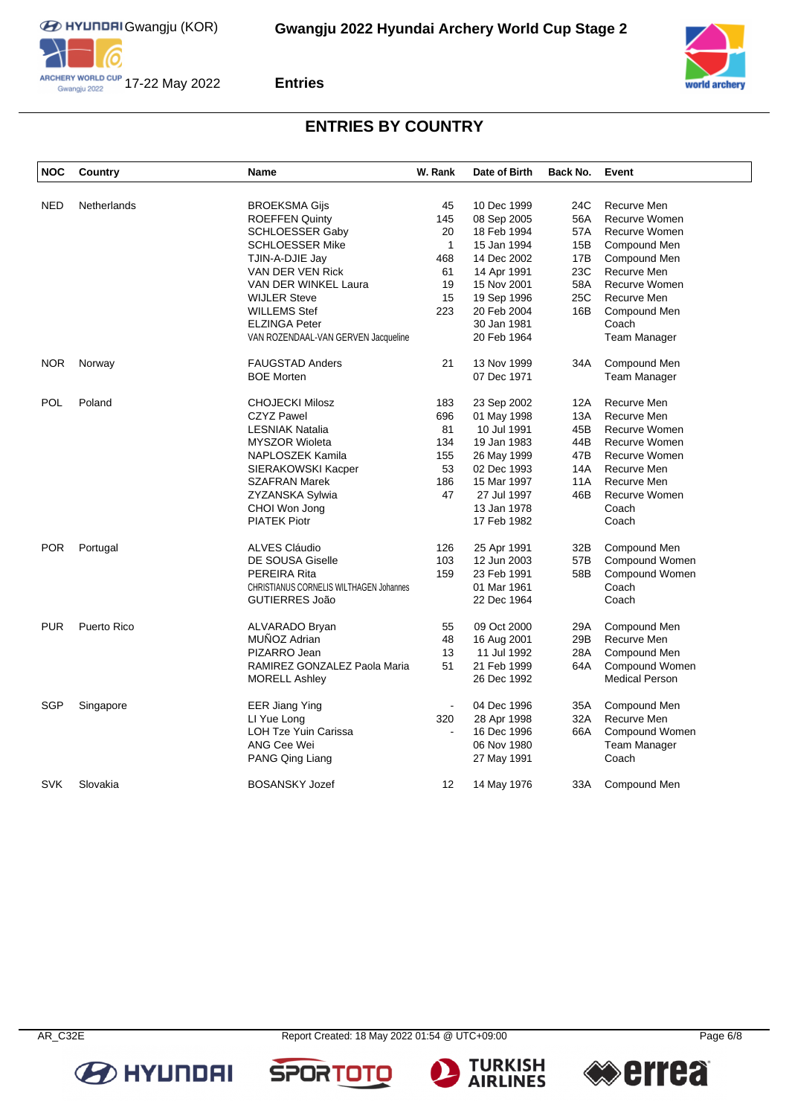



# **ENTRIES BY COUNTRY**

| <b>NOC</b> | Country     | Name                                    | W. Rank        | Date of Birth | Back No. | Event                 |
|------------|-------------|-----------------------------------------|----------------|---------------|----------|-----------------------|
|            |             |                                         |                |               |          |                       |
| <b>NED</b> | Netherlands | <b>BROEKSMA Gijs</b>                    | 45             | 10 Dec 1999   | 24C      | Recurve Men           |
|            |             | <b>ROEFFEN Quinty</b>                   | 145            | 08 Sep 2005   | 56A      | <b>Recurve Women</b>  |
|            |             | SCHLOESSER Gaby                         | 20             | 18 Feb 1994   | 57A      | Recurve Women         |
|            |             | <b>SCHLOESSER Mike</b>                  | $\mathbf{1}$   | 15 Jan 1994   | 15B      | Compound Men          |
|            |             | TJIN-A-DJIE Jay                         | 468            | 14 Dec 2002   | 17B      | Compound Men          |
|            |             | VAN DER VEN Rick                        | 61             | 14 Apr 1991   | 23C      | Recurve Men           |
|            |             | VAN DER WINKEL Laura                    | 19             | 15 Nov 2001   | 58A      | <b>Recurve Women</b>  |
|            |             | <b>WIJLER Steve</b>                     | 15             | 19 Sep 1996   | 25C      | Recurve Men           |
|            |             | <b>WILLEMS Stef</b>                     | 223            | 20 Feb 2004   | 16B      | Compound Men          |
|            |             | <b>ELZINGA Peter</b>                    |                | 30 Jan 1981   |          | Coach                 |
|            |             | VAN ROZENDAAL-VAN GERVEN Jacqueline     |                | 20 Feb 1964   |          | Team Manager          |
| <b>NOR</b> | Norway      | <b>FAUGSTAD Anders</b>                  | 21             | 13 Nov 1999   | 34A      | Compound Men          |
|            |             | <b>BOE Morten</b>                       |                | 07 Dec 1971   |          | Team Manager          |
| POL        | Poland      | <b>CHOJECKI Milosz</b>                  | 183            | 23 Sep 2002   | 12A      | Recurve Men           |
|            |             | <b>CZYZ Pawel</b>                       | 696            | 01 May 1998   | 13A      | Recurve Men           |
|            |             | LESNIAK Natalia                         | 81             | 10 Jul 1991   | 45B      | Recurve Women         |
|            |             | <b>MYSZOR Wioleta</b>                   | 134            | 19 Jan 1983   | 44B      | <b>Recurve Women</b>  |
|            |             | NAPLOSZEK Kamila                        | 155            | 26 May 1999   | 47B      | <b>Recurve Women</b>  |
|            |             | SIERAKOWSKI Kacper                      | 53             | 02 Dec 1993   | 14A      | Recurve Men           |
|            |             | <b>SZAFRAN Marek</b>                    | 186            | 15 Mar 1997   | 11A      | Recurve Men           |
|            |             | ZYZANSKA Sylwia                         | 47             | 27 Jul 1997   | 46B      | Recurve Women         |
|            |             |                                         |                | 13 Jan 1978   |          | Coach                 |
|            |             | CHOI Won Jong                           |                |               |          |                       |
|            |             | <b>PIATEK Piotr</b>                     |                | 17 Feb 1982   |          | Coach                 |
| <b>POR</b> | Portugal    | <b>ALVES Cláudio</b>                    | 126            | 25 Apr 1991   | 32B      | Compound Men          |
|            |             | DE SOUSA Giselle                        | 103            | 12 Jun 2003   | 57B      | Compound Women        |
|            |             | PEREIRA Rita                            | 159            | 23 Feb 1991   | 58B      | Compound Women        |
|            |             | CHRISTIANUS CORNELIS WILTHAGEN Johannes |                | 01 Mar 1961   |          | Coach                 |
|            |             | GUTIERRES João                          |                | 22 Dec 1964   |          | Coach                 |
| <b>PUR</b> | Puerto Rico | <b>ALVARADO Bryan</b>                   | 55             | 09 Oct 2000   | 29A      | Compound Men          |
|            |             | MUÑOZ Adrian                            | 48             | 16 Aug 2001   | 29B      | Recurve Men           |
|            |             | PIZARRO Jean                            | 13             | 11 Jul 1992   | 28A      | Compound Men          |
|            |             | RAMIREZ GONZALEZ Paola Maria            | 51             | 21 Feb 1999   | 64A      | Compound Women        |
|            |             | <b>MORELL Ashley</b>                    |                | 26 Dec 1992   |          | <b>Medical Person</b> |
| SGP        | Singapore   | EER Jiang Ying                          | $\blacksquare$ | 04 Dec 1996   | 35A      | Compound Men          |
|            |             | LI Yue Long                             | 320            | 28 Apr 1998   | 32A      | Recurve Men           |
|            |             | LOH Tze Yuin Carissa                    |                | 16 Dec 1996   | 66A      | Compound Women        |
|            |             | ANG Cee Wei                             |                | 06 Nov 1980   |          | Team Manager          |
|            |             |                                         |                |               |          | Coach                 |
|            |             | PANG Qing Liang                         |                | 27 May 1991   |          |                       |
| SVK        | Slovakia    | <b>BOSANSKY Jozef</b>                   | 12             | 14 May 1976   | 33A      | Compound Men          |

AR\_C32E Report Created: 18 May 2022 01:54 @ UTC+09:00 Page 6/8







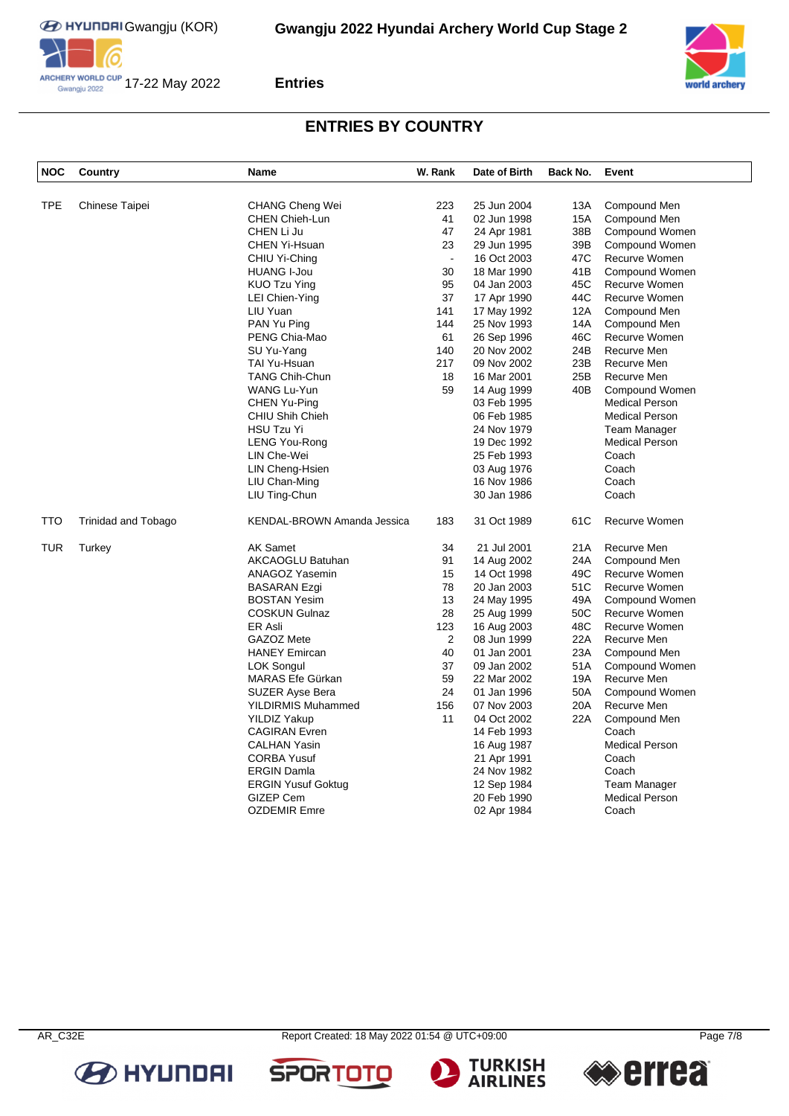**EXECUTED HYUNDRIG GWANGHOU (KOR)** 







### **Entries**

# **ENTRIES BY COUNTRY**

| <b>NOC</b> | Country                    | Name                        | W. Rank        | Date of Birth | Back No. | Event                 |
|------------|----------------------------|-----------------------------|----------------|---------------|----------|-----------------------|
| <b>TPE</b> | Chinese Taipei             | <b>CHANG Cheng Wei</b>      | 223            | 25 Jun 2004   | 13A      | Compound Men          |
|            |                            | <b>CHEN Chieh-Lun</b>       | 41             | 02 Jun 1998   | 15A      | Compound Men          |
|            |                            | CHEN Li Ju                  | 47             | 24 Apr 1981   | 38B      | Compound Women        |
|            |                            | CHEN Yi-Hsuan               | 23             | 29 Jun 1995   | 39B      | Compound Women        |
|            |                            | CHIU Yi-Ching               |                | 16 Oct 2003   | 47C      | Recurve Women         |
|            |                            | <b>HUANG I-Jou</b>          | 30             | 18 Mar 1990   | 41B      | Compound Women        |
|            |                            | <b>KUO Tzu Ying</b>         | 95             | 04 Jan 2003   | 45C      | Recurve Women         |
|            |                            | LEI Chien-Ying              | 37             | 17 Apr 1990   | 44C      | Recurve Women         |
|            |                            | LIU Yuan                    | 141            | 17 May 1992   | 12A      | Compound Men          |
|            |                            | PAN Yu Ping                 | 144            | 25 Nov 1993   | 14A      | Compound Men          |
|            |                            | PENG Chia-Mao               | 61             | 26 Sep 1996   | 46C      | Recurve Women         |
|            |                            | SU Yu-Yang                  | 140            | 20 Nov 2002   | 24B      | Recurve Men           |
|            |                            | TAI Yu-Hsuan                | 217            | 09 Nov 2002   | 23B      | Recurve Men           |
|            |                            | <b>TANG Chih-Chun</b>       | 18             | 16 Mar 2001   | 25B      | Recurve Men           |
|            |                            | WANG Lu-Yun                 | 59             | 14 Aug 1999   | 40B      | Compound Women        |
|            |                            | CHEN Yu-Ping                |                | 03 Feb 1995   |          | <b>Medical Person</b> |
|            |                            | CHIU Shih Chieh             |                | 06 Feb 1985   |          | <b>Medical Person</b> |
|            |                            | <b>HSU Tzu Yi</b>           |                | 24 Nov 1979   |          | <b>Team Manager</b>   |
|            |                            | LENG You-Rong               |                | 19 Dec 1992   |          | <b>Medical Person</b> |
|            |                            | LIN Che-Wei                 |                | 25 Feb 1993   |          | Coach                 |
|            |                            | LIN Cheng-Hsien             |                | 03 Aug 1976   |          | Coach                 |
|            |                            | LIU Chan-Ming               |                | 16 Nov 1986   |          | Coach                 |
|            |                            | LIU Ting-Chun               |                | 30 Jan 1986   |          | Coach                 |
| TTO        | <b>Trinidad and Tobago</b> | KENDAL-BROWN Amanda Jessica | 183            | 31 Oct 1989   | 61C      | Recurve Women         |
| TUR        | Turkey                     | <b>AK Samet</b>             | 34             | 21 Jul 2001   | 21A      | Recurve Men           |
|            |                            | AKCAOGLU Batuhan            | 91             | 14 Aug 2002   | 24A      | Compound Men          |
|            |                            | ANAGOZ Yasemin              | 15             | 14 Oct 1998   | 49C      | Recurve Women         |
|            |                            | <b>BASARAN Ezgi</b>         | 78             | 20 Jan 2003   | 51C      | Recurve Women         |
|            |                            | <b>BOSTAN Yesim</b>         | 13             | 24 May 1995   | 49A      | Compound Women        |
|            |                            | <b>COSKUN Gulnaz</b>        | 28             | 25 Aug 1999   | 50C      | Recurve Women         |
|            |                            | ER Asli                     | 123            | 16 Aug 2003   | 48C      | Recurve Women         |
|            |                            | GAZOZ Mete                  | $\overline{c}$ | 08 Jun 1999   | 22A      | Recurve Men           |
|            |                            | <b>HANEY Emircan</b>        | 40             | 01 Jan 2001   | 23A      | Compound Men          |
|            |                            | LOK Songul                  | 37             | 09 Jan 2002   | 51A      | Compound Women        |
|            |                            | MARAS Efe Gürkan            | 59             | 22 Mar 2002   | 19A      | Recurve Men           |
|            |                            | <b>SUZER Ayse Bera</b>      | 24             | 01 Jan 1996   | 50A      | Compound Women        |
|            |                            | <b>YILDIRMIS Muhammed</b>   | 156            | 07 Nov 2003   | 20A      | Recurve Men           |
|            |                            | <b>YILDIZ Yakup</b>         | 11             | 04 Oct 2002   | 22A      | Compound Men          |
|            |                            | <b>CAGIRAN Evren</b>        |                | 14 Feb 1993   |          | Coach                 |
|            |                            | <b>CALHAN Yasin</b>         |                | 16 Aug 1987   |          | <b>Medical Person</b> |
|            |                            | <b>CORBA Yusuf</b>          |                | 21 Apr 1991   |          | Coach                 |
|            |                            | <b>ERGIN Damla</b>          |                | 24 Nov 1982   |          | Coach                 |
|            |                            | <b>ERGIN Yusuf Goktug</b>   |                | 12 Sep 1984   |          | Team Manager          |
|            |                            | GIZEP Cem                   |                | 20 Feb 1990   |          | <b>Medical Person</b> |
|            |                            | <b>OZDEMIR Emre</b>         |                | 02 Apr 1984   |          | Coach                 |